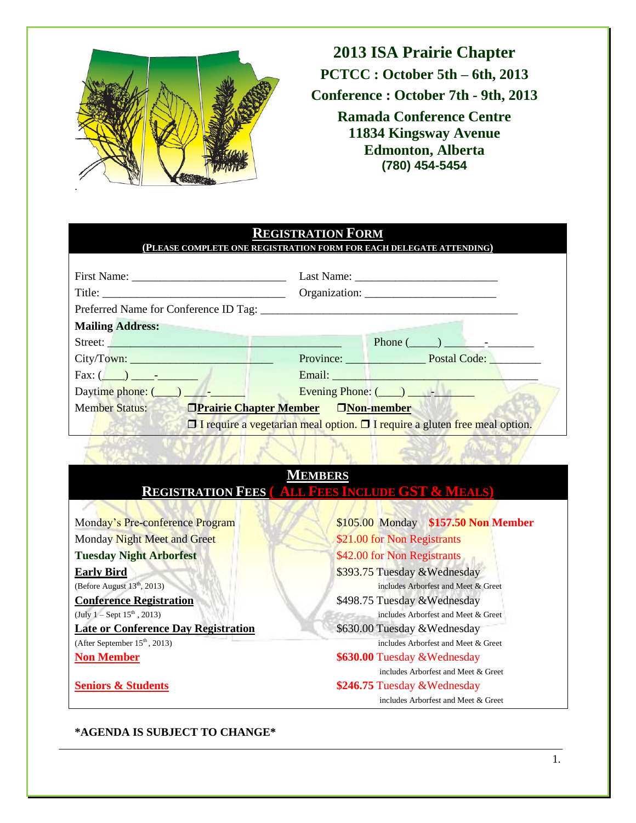

**2013 ISA Prairie Chapter PCTCC : October 5th – 6th, 2013 Conference : October 7th - 9th, 2013 Ramada Conference Centre 11834 Kingsway Avenue Edmonton, Alberta (780) 454-5454**

#### **REGISTRATION FORM (PLEASE COMPLETE ONE REGISTRATION FORM FOR EACH DELEGATE ATTENDING)**

| First Name:                                                                            |  |                                                                                                                                                                                                                                      |
|----------------------------------------------------------------------------------------|--|--------------------------------------------------------------------------------------------------------------------------------------------------------------------------------------------------------------------------------------|
|                                                                                        |  |                                                                                                                                                                                                                                      |
|                                                                                        |  |                                                                                                                                                                                                                                      |
| <b>Mailing Address:</b>                                                                |  |                                                                                                                                                                                                                                      |
| Street:                                                                                |  | Phone $(\_\_)$ $\_\_$                                                                                                                                                                                                                |
|                                                                                        |  | Province: Postal Code:                                                                                                                                                                                                               |
| Fax: (                                                                                 |  | Email: <u>Alexander School (School (School (School (School (School (School (School (School (School (School (School (School (School (School (School (School (School (School (School (School (School (School (School (School (Scho</u> |
| Daytime phone: $(\_\_)$ $\_\_$                                                         |  | Evening Phone: $(\_\_\_\_\_\_\_$                                                                                                                                                                                                     |
| <b>Member Status:</b><br><b>OPrairie Chapter Member DNon-member</b>                    |  |                                                                                                                                                                                                                                      |
| $\Box$ I require a vegetarian meal option. $\Box$ I require a gluten free meal option. |  |                                                                                                                                                                                                                                      |

## **MEMBERS REGISTRATION FEES ( ALL FEES INCLUDE GST & MEALS)** Monday's Pre-conference Program \$105.00 Monday **\$157.50 Non Member** Monday Night Meet and Greet \$21.00 for Non Registrants **Tuesday Night Arborfest** \$42.00 for Non Registrants **Early Bird** \$393.75 Tuesday &Wednesday (Before August 13th, 2013) includes Arborfest and Meet & Greet **Conference Registration** \$498.75 Tuesday &Wednesday (July  $1 -$  Sept  $15^{th}$ , 2013) includes Arborfest and Meet & Greet **Late or Conference Day Registration** \$630.00 Tuesday &Wednesday (After September 15<sup>th</sup>, 2013) includes Arborfest and Meet & Greet **Non Member \$630.00** Tuesday &Wednesday includes Arborfest and Meet & Greet **Seniors & Students \$246.75** Tuesday &Wednesday includes Arborfest and Meet & Greet

### **\*AGENDA IS SUBJECT TO CHANGE\***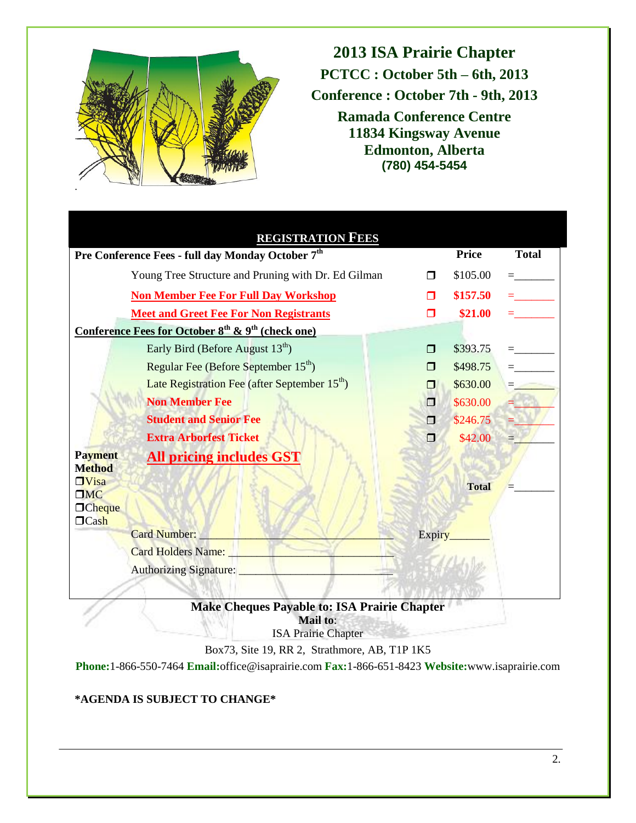

**2013 ISA Prairie Chapter PCTCC : October 5th – 6th, 2013 Conference : October 7th - 9th, 2013 Ramada Conference Centre 11834 Kingsway Avenue Edmonton, Alberta (780) 454-5454**

|                                 | <b>REGISTRATION FEES</b>                                                |                     |              |              |
|---------------------------------|-------------------------------------------------------------------------|---------------------|--------------|--------------|
|                                 | Pre Conference Fees - full day Monday October 7 <sup>th</sup>           |                     |              | <b>Total</b> |
|                                 | Young Tree Structure and Pruning with Dr. Ed Gilman                     | $\Box$              | \$105.00     |              |
|                                 | <b>Non Member Fee For Full Day Workshop</b>                             | ⊓                   | \$157.50     |              |
|                                 | <b>Meet and Greet Fee For Non Registrants</b>                           | ⊓                   | \$21.00      |              |
|                                 | Conference Fees for October $8^{th}$ & $9^{th}$ (check one)             |                     |              |              |
|                                 | Early Bird (Before August 13 <sup>th</sup> )                            | ⊓                   | \$393.75     |              |
|                                 | Regular Fee (Before September 15 <sup>th</sup> )                        | ⊓                   | \$498.75     |              |
|                                 | Late Registration Fee (after September 15 <sup>th</sup> )               | ⊓                   | \$630.00     |              |
|                                 | <b>Non Member Fee</b>                                                   | $\Box$              | \$630.00     |              |
|                                 | <b>Student and Senior Fee</b>                                           |                     | \$246.75     |              |
|                                 | <b>Extra Arborfest Ticket</b>                                           |                     | \$42.00      |              |
| <b>Payment</b><br><b>Method</b> | <b>All pricing includes GST</b>                                         |                     |              |              |
| $\Box$ Visa                     |                                                                         |                     | <b>Total</b> |              |
| $\square$ MC<br><b>O</b> Cheque |                                                                         |                     |              |              |
| $\Box$ Cash                     |                                                                         |                     |              |              |
|                                 | Card Number:                                                            | Expiry              |              |              |
|                                 | <b>Card Holders Name:</b>                                               |                     |              |              |
|                                 | Authorizing Signature: _                                                |                     |              |              |
|                                 |                                                                         |                     |              |              |
|                                 | <b>TO A D</b><br>$\mathbf{M}$ $\mathbf{I}$ $\mathbf{M}$<br>1.1.4.<br>n. | $\cdot$ .<br>$\sim$ |              |              |

**Make Cheques Payable to: ISA Prairie Chapter Mail to**:

ISA Prairie Chapter

Box73, Site 19, RR 2, Strathmore, AB, T1P 1K5

**Phone:**1-866-550-7464 **Email:**office@isaprairie.com **Fax:**1-866-651-8423 **Website:**www.isaprairie.com

### **\*AGENDA IS SUBJECT TO CHANGE\***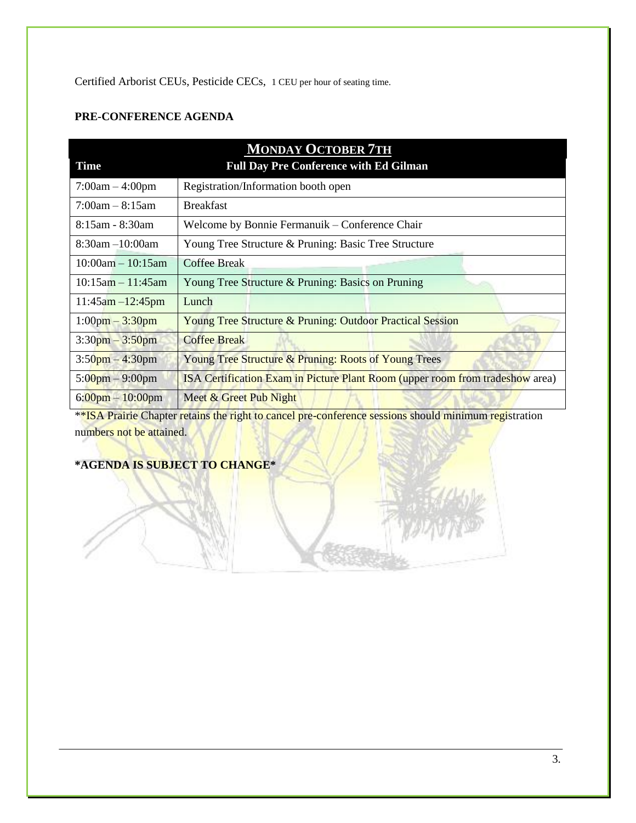Certified Arborist CEUs, Pesticide CECs, 1 CEU per hour of seating time.

#### **PRE-CONFERENCE AGENDA**

| <b>MONDAY OCTOBER 7TH</b>          |                                                                               |  |  |
|------------------------------------|-------------------------------------------------------------------------------|--|--|
| <b>Time</b>                        | <b>Full Day Pre Conference with Ed Gilman</b>                                 |  |  |
| $7:00am - 4:00pm$                  | Registration/Information booth open                                           |  |  |
| $7:00am - 8:15am$                  | <b>Breakfast</b>                                                              |  |  |
| $8:15$ am - $8:30$ am              | Welcome by Bonnie Fermanuik – Conference Chair                                |  |  |
| $8:30$ am $-10:00$ am              | Young Tree Structure & Pruning: Basic Tree Structure                          |  |  |
| $10:00am - 10:15am$                | <b>Coffee Break</b>                                                           |  |  |
| $10:15$ am $-11:45$ am             | Young Tree Structure & Pruning: Basics on Pruning                             |  |  |
| $11:45am - 12:45pm$                | Lunch                                                                         |  |  |
| $1:00pm - 3:30pm$                  | Young Tree Structure & Pruning: Outdoor Practical Session                     |  |  |
| $3:30$ pm $-3:50$ pm               | <b>Coffee Break</b>                                                           |  |  |
| $3:50$ pm $-4:30$ pm               | Young Tree Structure & Pruning: Roots of Young Trees                          |  |  |
| $5:00 \text{pm} - 9:00 \text{pm}$  | ISA Certification Exam in Picture Plant Room (upper room from tradeshow area) |  |  |
| $6:00 \text{pm} - 10:00 \text{pm}$ | Meet & Greet Pub Night                                                        |  |  |

\*\*ISA Prairie Chapter retains the right to cancel pre-conference sessions should minimum registration numbers not be attained.

## **\*AGENDA IS SUBJECT TO CHANGE\***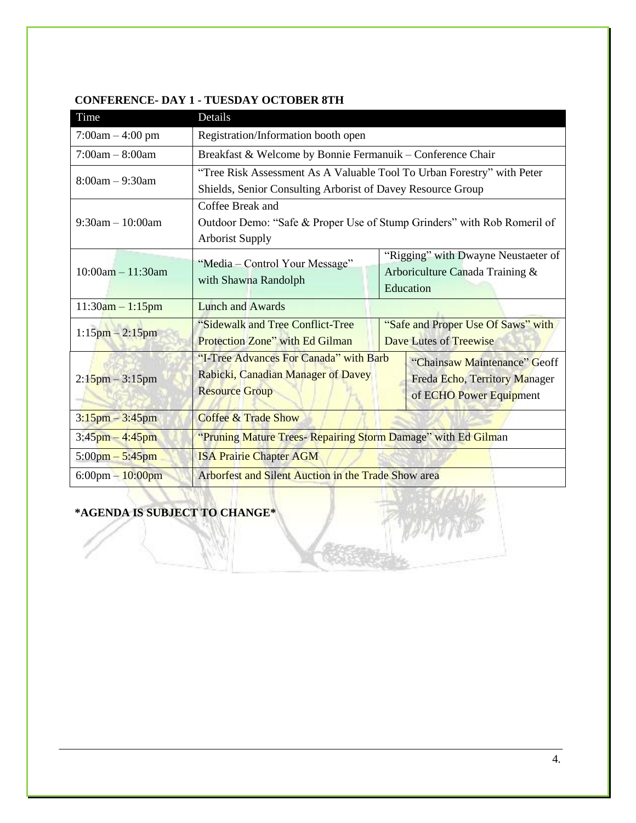| Time                               | Details                                                                                                                          |                        |                                     |  |
|------------------------------------|----------------------------------------------------------------------------------------------------------------------------------|------------------------|-------------------------------------|--|
| $7:00am - 4:00 pm$                 | Registration/Information booth open                                                                                              |                        |                                     |  |
| $7:00am - 8:00am$                  | Breakfast & Welcome by Bonnie Fermanuik - Conference Chair                                                                       |                        |                                     |  |
| $8:00am - 9:30am$                  | "Tree Risk Assessment As A Valuable Tool To Urban Forestry" with Peter                                                           |                        |                                     |  |
|                                    | Shields, Senior Consulting Arborist of Davey Resource Group                                                                      |                        |                                     |  |
|                                    | Coffee Break and                                                                                                                 |                        |                                     |  |
| $9:30am - 10:00am$                 | Outdoor Demo: "Safe & Proper Use of Stump Grinders" with Rob Romeril of                                                          |                        |                                     |  |
|                                    | <b>Arborist Supply</b>                                                                                                           |                        |                                     |  |
|                                    | "Media – Control Your Message"                                                                                                   |                        | "Rigging" with Dwayne Neustaeter of |  |
| $10:00am - 11:30am$                |                                                                                                                                  |                        | Arboriculture Canada Training &     |  |
|                                    | with Shawna Randolph                                                                                                             | Education              |                                     |  |
| $11:30am - 1:15pm$                 | <b>Lunch and Awards</b>                                                                                                          |                        |                                     |  |
|                                    | "Sidewalk and Tree Conflict-Tree<br>"Safe and Proper Use Of Saws" with                                                           |                        |                                     |  |
| $1:15$ pm $-2:15$ pm               | Protection Zone" with Ed Gilman                                                                                                  | Dave Lutes of Treewise |                                     |  |
|                                    | "I-Tree Advances For Canada" with Barb<br>Rabicki, Canadian Manager of Davey<br><b>Resource Group</b><br>of ECHO Power Equipment |                        | "Chainsaw Maintenance" Geoff        |  |
| $2:15$ pm – 3:15pm                 |                                                                                                                                  |                        | Freda Echo, Territory Manager       |  |
|                                    |                                                                                                                                  |                        |                                     |  |
| $3:15$ pm – 3:45pm                 | <b>Coffee &amp; Trade Show</b>                                                                                                   |                        |                                     |  |
| $3:45$ pm $-4:45$ pm               | "Pruning Mature Trees- Repairing Storm Damage" with Ed Gilman                                                                    |                        |                                     |  |
| $5:00pm - 5:45pm$                  | <b>ISA Prairie Chapter AGM</b>                                                                                                   |                        |                                     |  |
| $6:00 \text{pm} - 10:00 \text{pm}$ | Arborfest and Silent Auction in the Trade Show area                                                                              |                        |                                     |  |

#### **CONFERENCE- DAY 1 - TUESDAY OCTOBER 8TH**

**\*AGENDA IS SUBJECT TO CHANGE\***

**STORY**